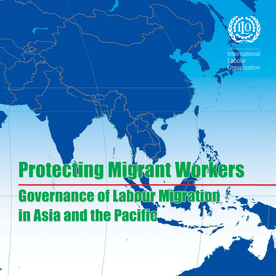

International Labour Organization

# Protecting Migrant Wórkers **Governance of Labour M in Asia and the Pacific**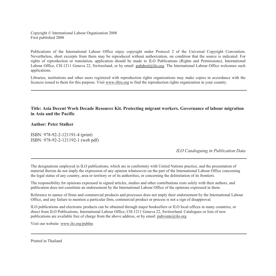Copyright © International Labour Organization 2008 First published 2008

Publications of the International Labour Office enjoy copyright under Protocol 2 of the Universal Copyright Convention. Nevertheless, short excerpts from them may be reproduced without authorization, on condition that the source is indicated. For rights of reproduction or translation, application should be made to ILO Publications (Rights and Permissions), International Labour Office, CH-1211 Geneva 22, Switzerland, or by email: pubdroit@ilo.org. The International Labour Office welcomes such applications.

Libraries, institutions and other users registered with reproduction rights organizations may make copies in accordance with the licences issued to them for this purpose. Visit www.ifrro.org to find the reproduction rights organization in your country.

#### **Title: Asia Decent Work Decade Resource Kit. Protecting migrant workers. Governance of labour migration in Asia and the Pacific**

#### **Author: Peter Stalker**

ISBN: 978-92-2-121191-4 (print) ISBN: 978-92-2-121192-1 (web pdf)

*ILO Cataloguing in Publication Data*

The designations employed in ILO publications, which are in conformity with United Nations practice, and the presentation of material therein do not imply the expression of any opinion whatsoever on the part of the International Labour Office concerning the legal status of any country, area or territory or of its authorities, or concerning the delimitation of its frontiers.

The responsibility for opinions expressed in signed articles, studies and other contributions rests solely with their authors, and publication does not constitute an endorsement by the International Labour Office of the opinions expressed in them.

Reference to names of firms and commercial products and processes does not imply their endorsement by the International Labour Office, and any failure to mention a particular firm, commercial product or process is not a sign of disapproval.

ILO publications and electronic products can be obtained through major booksellers or ILO local offices in many countries, or direct from ILO Publications, International Labour Office, CH-1211 Geneva 22, Switzerland. Catalogues or lists of new publications are available free of charge from the above address, or by email: pubvente@ilo.org

Visit our website: www.ilo.org/publns

Printed in Thailand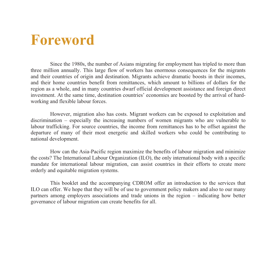## **Foreword**

Since the 1980s, the number of Asians migrating for employment has tripled to more than three million annually. This large flow of workers has enormous consequences for the migrants and their countries of origin and destination. Migrants achieve dramatic boosts in their incomes, and their home countries benefit from remittances, which amount to billions of dollars for the region as a whole, and in many countries dwarf official development assistance and foreign direct investment. At the same time, destination countries' economies are boosted by the arrival of hardworking and flexible labour forces.

However, migration also has costs. Migrant workers can be exposed to exploitation and discrimination – especially the increasing numbers of women migrants who are vulnerable to labour trafficking. For source countries, the income from remittances has to be offset against the departure of many of their most energetic and skilled workers who could be contributing to national development.

How can the Asia-Pacific region maximize the benefits of labour migration and minimize the costs? The International Labour Organization (ILO), the only international body with a specific mandate for international labour migration, can assist countries in their efforts to create more orderly and equitable migration systems.

This booklet and the accompanying CDROM offer an introduction to the services that ILO can offer. We hope that they will be of use to government policy makers and also to our many partners among employers associations and trade unions in the region – indicating how better governance of labour migration can create benefits for all.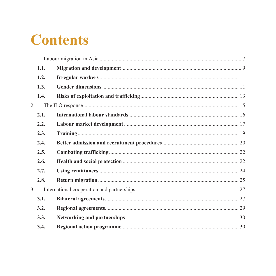## **Contents**

| 1. |      |  |
|----|------|--|
|    | 1.1. |  |
|    | 1.2. |  |
|    | 1.3. |  |
|    | 1.4. |  |
| 2. |      |  |
|    | 2.1. |  |
|    | 2.2. |  |
|    | 2.3. |  |
|    | 2.4. |  |
|    | 2.5. |  |
|    | 2.6. |  |
|    | 2.7. |  |
|    | 2.8. |  |
| 3. |      |  |
|    | 3.1. |  |
|    | 3.2. |  |
|    | 3.3. |  |
|    | 3.4. |  |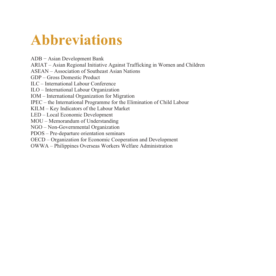## **Abbreviations**

ADB – Asian Development Bank

ARIAT – Asian Regional Initiative Against Trafficking in Women and Children

ASEAN – Association of Southeast Asian Nations

GDP – Gross Domestic Product

ILC – International Labour Conference

ILO – International Labour Organization

IOM – International Organization for Migration

IPEC – the International Programme for the Elimination of Child Labour

KILM – Key Indicators of the Labour Market

LED – Local Economic Development

MOU – Memorandum of Understanding

NGO – Non-Governmental Organization

PDOS – Pre-departure orientation seminars

OECD – Organization for Economic Cooperation and Development

OWWA – Philippines Overseas Workers Welfare Administration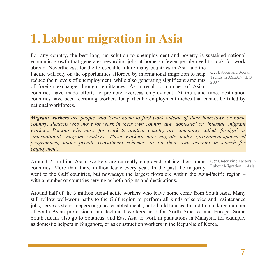### **1.Labour migration in Asia**

For any country, the best long-run solution to unemployment and poverty is sustained national economic growth that generates rewarding jobs at home so fewer people need to look for work abroad. Nevertheless, for the foreseeable future many countries in Asia and the

Pacific will rely on the opportunities afforded by international migration to help reduce their levels of unemployment, while also generating significant amounts of foreign exchange through remittances. As a result, a number of Asian

Get Labour and Social Trends in ASEAN, ILO 2007

countries have made efforts to promote overseas employment. At the same time, destination countries have been recruiting workers for particular employment niches that cannot be filled by national workforces.

*Migrant workers are people who leave home to find work outside of their hometown or home country. Persons who move for work in their own country are 'domestic' or 'internal' migrant workers. Persons who move for work to another country are commonly called 'foreign' or 'international' migrant workers. These workers may migrate under government-sponsored programmes, under private recruitment schemes, or on their own account in search for employment.* 

Around 25 million Asian workers are currently employed outside their home countries. More than three million leave every year. In the past the majority went to the Gulf countries, but nowadays the largest flows are within the Asia-Pacific region – with a number of countries serving as both origins and destinations. Get Underlying Factors in Labour Migration in Asia

Around half of the 3 million Asia-Pacific workers who leave home come from South Asia. Many still follow well-worn paths to the Gulf region to perform all kinds of service and maintenance jobs, serve as store-keepers or guard establishments, or to build houses. In addition, a large number of South Asian professional and technical workers head for North America and Europe. Some South Asians also go to Southeast and East Asia to work in plantations in Malaysia, for example, as domestic helpers in Singapore, or as construction workers in the Republic of Korea.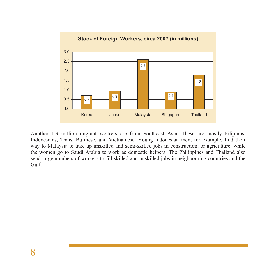

Another 1.3 million migrant workers are from Southeast Asia. These are mostly Filipinos, Indonesians, Thais, Burmese, and Vietnamese. Young Indonesian men, for example, find their way to Malaysia to take up unskilled and semi-skilled jobs in construction, or agriculture, while the women go to Saudi Arabia to work as domestic helpers. The Philippines and Thailand also send large numbers of workers to fill skilled and unskilled jobs in neighbouring countries and the Gulf.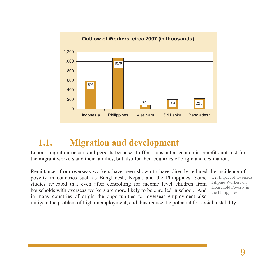

#### **1.1. Migration and development**

Labour migration occurs and persists because it offers substantial economic benefits not just for the migrant workers and their families, but also for their countries of origin and destination.

Remittances from overseas workers have been shown to have directly reduced the incidence of poverty in countries such as Bangladesh, Nepal, and the Philippines. Some studies revealed that even after controlling for income level children from households with overseas workers are more likely to be enrolled in school. And in many countries of origin the opportunities for overseas employment also the Philippines

Get Impact of Overseas Filipino Workers on Household Poverty in

mitigate the problem of high unemployment, and thus reduce the potential for social instability.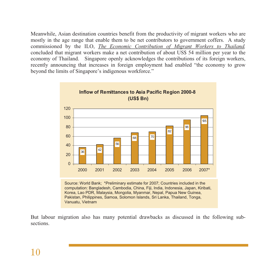Meanwhile, Asian destination countries benefit from the productivity of migrant workers who are mostly in the age range that enable them to be net contributors to government coffers. A study commissioned by the ILO, *The Economic Contribution of Migrant Workers to Thailand,* concluded that migrant workers make a net contribution of about US\$ 54 million per year to the economy of Thailand. Singapore openly acknowledges the contributions of its foreign workers, recently announcing that increases in foreign employment had enabled "the economy to grow beyond the limits of Singapore's indigenous workforce."



Korea, Lao PDR, Malaysia, Mongolia, Myanmar, Nepal, Papua New Guinea, Pakistan, Philippines, Samoa, Solomon Islands, Sri Lanka, Thailand, Tonga, Vanuatu, Vietnam

But labour migration also has many potential drawbacks as discussed in the following subsections.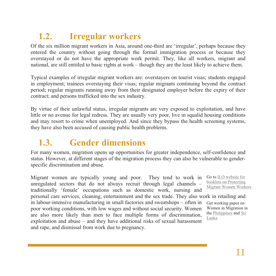### **1.2. Irregular workers**

Of the six million migrant workers in Asia, around one-third are 'irregular', perhaps because they entered the country without going through the formal immigration process or because they overstayed or do not have the appropriate work permit. They, like all workers, migrant and national, are still entitled to basic rights at work – though they are the least likely to achieve them.

Typical examples of irregular migrant workers are: overstayers on tourist visas; students engaged in employment; trainees overstaying their visas; regular migrants continuing beyond the contract period; regular migrants running away from their designated employer before the expiry of their contract; and persons trafficked into the sex industry.

By virtue of their unlawful status, irregular migrants are very exposed to exploitation, and have little or no avenue for legal redress. They are usually very poor, live in squalid housing conditions and may resort to crime when unemployed. And since they bypass the health screening systems, they have also been accused of causing public health problems.

#### **1.3. Gender dimensions**

For many women, migration opens up opportunities for greater independence, self-confidence and status. However, at different stages of the migration process they can also be vulnerable to genderspecific discrimination and abuse.

Migrant women are typically young and poor. They tend to work in unregulated sectors that do not always recruit through legal channels – traditionally 'female' occupations such as domestic work, nursing and

personal care services, cleaning, entertainment and the sex trade. They also work in retailing and in labour-intensive manufacturing in small factories and sweatshops – often in poor working conditions, with low wages and without social security. Women are also more likely than men to face multiple forms of discrimination, exploitation and abuse – and they have additional risks of sexual harassment and rape, and dismissal from work due to pregnancy.

Go to ILO website for booklets on Protecting Migrant Women Workers

Get working paper on Women in Migration in the Philippines and Sri Lanka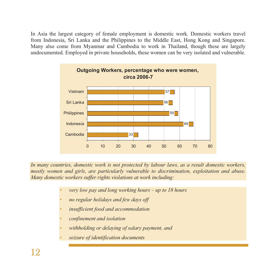In Asia the largest category of female employment is domestic work. Domestic workers travel from Indonesia, Sri Lanka and the Philippines to the Middle East, Hong Kong and Singapore. Many also come from Myanmar and Cambodia to work in Thailand, though these are largely undocumented. Employed in private households, these women can be very isolated and vulnerable.



*In many countries, domestic work is not protected by labour laws, as a result domestic workers, mostly women and girls, are particularly vulnerable to discrimination, exploitation and abuse. Many domestic workers suffer rights violations at work including:* 

- *very low pay and long working hours up to 18 hours*
- *no regular holidays and few days off*
- *insufficient food and accommodation*
- *confinement and isolation*
- *withholding or delaying of salary payment, and*
- *seizure of identification documents*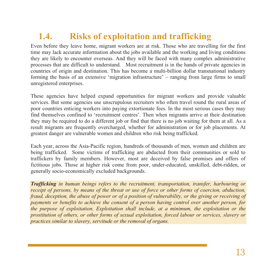#### **1.4. Risks of exploitation and trafficking**

Even before they leave home, migrant workers are at risk. Those who are travelling for the first time may lack accurate information about the jobs available and the working and living conditions they are likely to encounter overseas. And they will be faced with many complex administrative processes that are difficult to understand. Most recruitment is in the hands of private agencies in countries of origin and destination. This has become a multi-billion dollar transnational industry forming the basis of an extensive 'migration infrastructure' – ranging from large firms to small unregistered enterprises.

These agencies have helped expand opportunities for migrant workers and provide valuable services. But some agencies use unscrupulous recruiters who often travel round the rural areas of poor countries enticing workers into paying extortionate fees. In the most serious cases they may find themselves confined to 'recruitment centres'. Then when migrants arrive at their destination they may be required to do a different job or find that there is no job waiting for them at all. As a result migrants are frequently overcharged, whether for administration or for job placements. At greatest danger are vulnerable women and children who risk being trafficked.

Each year, across the Asia-Pacific region, hundreds of thousands of men, women and children are being trafficked. Some victims of trafficking are abducted from their communities or sold to traffickers by family members. However, most are deceived by false promises and offers of fictitious jobs. Those at higher risk come from poor, under-educated, unskilled, debt-ridden, or generally socio-economically excluded backgrounds.

*Trafficking in human beings refers to the recruitment, transportation, transfer, harbouring or receipt of persons, by means of the threat or use of force or other forms of coercion, abduction, fraud, deception, the abuse of power or of a position of vulnerability, or the giving or receiving of payments or benefits to achieve the consent of a person having control over another person, for the purpose of exploitation. Exploitation shall include, at a minimum, the exploitation or the prostitution of others, or other forms of sexual exploitation, forced labour or services, slavery or practices similar to slavery, servitude or the removal of organs.*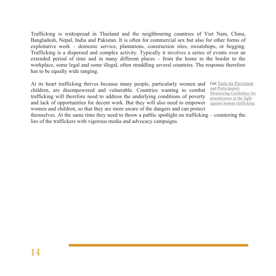Trafficking is widespread in Thailand and the neighbouring countries of Viet Nam, China, Bangladesh, Nepal, India and Pakistan. It is often for commercial sex but also for other forms of exploitative work – domestic service, plantations, construction sites, sweatshops, or begging. Trafficking is a dispersed and complex activity. Typically it involves a series of events over an extended period of time and in many different places – from the home to the border to the workplace, some legal and some illegal, often straddling several countries. The response therefore has to be equally wide ranging.

At its heart trafficking thrives because many people, particularly women and children, are disempowered and vulnerable. Countries wanting to combat trafficking will therefore need to address the underlying conditions of poverty and lack of opportunities for decent work. But they will also need to empower women and children, so that they are more aware of the dangers and can protect

Get Tools for Prevention and Participatory Monitoring Guidelines for practitioners in the fight against human trafficking

themselves. At the same time they need to throw a public spotlight on trafficking – countering the lies of the traffickers with vigorous media and advocacy campaigns.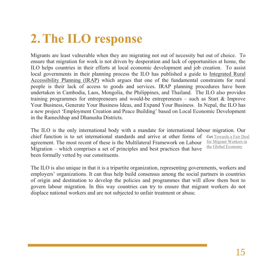### **2.The ILO response**

Migrants are least vulnerable when they are migrating not out of necessity but out of choice. To ensure that migration for work is not driven by desperation and lack of opportunities at home, the ILO helps countries in their efforts at local economic development and job creation. To assist local governments in their planning process the ILO has published a guide to Integrated Rural Accessibility Planning (IRAP) which argues that one of the fundamental constraints for rural people is their lack of access to goods and services. IRAP planning procedures have been undertaken in Cambodia, Laos, Mongolia, the Philippines, and Thailand. The ILO also provides training programmes for entrepreneurs and would-be entrepreneurs – such as Start & Improve Your Business, Generate Your Business Ideas, and Expand Your Business. In Nepal, the ILO has a new project 'Employment Creation and Peace Building' based on Local Economic Development in the Ramechhap and Dhanusha Districts.

The ILO is the only international body with a mandate for international labour migration. Our chief function is to set international standards and arrive at other forms of agreement. The most recent of these is the Multilateral Framework on Labour Migration – which comprises a set of principles and best practices that have been formally vetted by our constituents. Get Towards a Fair Deal for Migrant Workers in the Global Economy

The ILO is also unique in that it is a tripartite organization, representing governments, workers and employers' organizations. It can thus help build consensus among the social partners in countries of origin and destination to develop the policies and programmes that will allow them best to govern labour migration. In this way countries can try to ensure that migrant workers do not displace national workers and are not subjected to unfair treatment or abuse.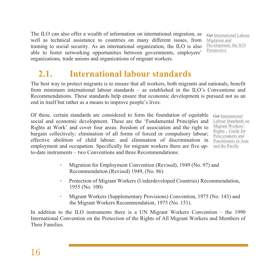The ILO can also offer a wealth of information on international migration, as well as technical assistance to countries on many different issues, from training to social security. As an international organization, the ILO is also able to foster networking opportunities between governments, employers' organizations, trade unions and organizations of migrant workers.

#### **2.1. International labour standards**

The best way to protect migrants is to ensure that all workers, both migrants and nationals, benefit from minimum international labour standards – as established in the  $\rm ILO$ 's Conventions and Recommendations. These standards help ensure that economic development is pursued not as an end in itself but rather as a means to improve people's lives.

Of these, certain standards are considered to form the foundation of equitable social and economic development. These are the 'Fundamental Principles and Rights at Work' and cover four areas: freedom of association and the right to bargain collectively; elimination of all forms of forced or compulsory labour; effective abolition of child labour; and elimination of discrimination in employment and occupation. Specifically for migrant workers there are five upto-date instruments – two Conventions and three Recommendations:

- Migration for Employment Convention (Revised), 1949 (No. 97) and Recommendation (Revised) 1949, (No. 86)
- Protection of Migrant Workers (Underdeveloped Countries) Recommendation, 1955 (No. 100)
- Migrant Workers (Supplementary Provisions) Convention, 1975 (No. 143) and the Migrant Workers Recommendation, 1975 (No. 151).

In addition to the ILO instruments there is a UN Migrant Workers Convention – the 1990 International Convention on the Protection of the Rights of All Migrant Workers and Members of Their Families.

Get International Labour Standards on Migrant Workers' Rights – Guide for Policymakers and Practitioners in Asia and the Pacific

Get International Labour Migration and Development: the ILO Perspective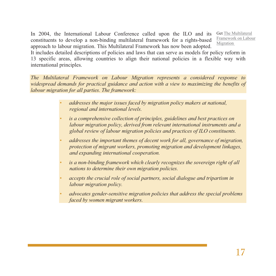In 2004, the International Labour Conference called upon the ILO and its constituents to develop a non-binding multilateral framework for a rights-based approach to labour migration. This Multilateral Framework has now been adopted.

Get The Multilateral Framework on Labour Migration

It includes detailed descriptions of policies and laws that can serve as models for policy reform in 13 specific areas, allowing countries to align their national policies in a flexible way with international principles.

*The Multilateral Framework on Labour Migration represents a considered response to widespread demands for practical guidance and action with a view to maximizing the benefits of labour migration for all parties. The framework:* 

- *addresses the major issues faced by migration policy makers at national, regional and international levels.*
- *is a comprehensive collection of principles, guidelines and best practices on labour migration policy, derived from relevant international instruments and a global review of labour migration policies and practices of ILO constituents.*
- *addresses the important themes of decent work for all, governance of migration, protection of migrant workers, promoting migration and development linkages, and expanding international cooperation.*
- *is a non-binding framework which clearly recognizes the sovereign right of all nations to determine their own migration policies.*
- *accepts the crucial role of social partners, social dialogue and tripartism in labour migration policy.*
- *advocates gender-sensitive migration policies that address the special problems faced by women migrant workers.*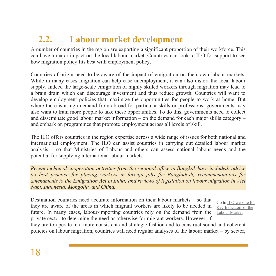#### **2.2. Labour market development**

A number of countries in the region are exporting a significant proportion of their workforce. This can have a major impact on the local labour market. Countries can look to ILO for support to see how migration policy fits best with employment policy.

Countries of origin need to be aware of the impact of emigration on their own labour markets. While in many cases migration can help ease unemployment, it can also distort the local labour supply. Indeed the large-scale emigration of highly skilled workers through migration may lead to a brain drain which can discourage investment and thus reduce growth. Countries will want to develop employment policies that maximize the opportunities for people to work at home. But where there is a high demand from abroad for particular skills or professions, governments may also want to train more people to take these opportunities. To do this, governments need to collect and disseminate good labour market information – on the demand for each major skills category – and embark on programmes that promote employment across all levels of skill.

The ILO offers countries in the region expertise across a wide range of issues for both national and international employment. The ILO can assist countries in carrying out detailed labour market analysis – so that Ministries of Labour and others can assess national labour needs and the potential for supplying international labour markets.

*Recent technical cooperation activities from the regional office in Bangkok have included: advice on best practice for placing workers in foreign jobs for Bangladesh; recommendations for amendments to the Emigration Act in India; and reviews of legislation on labour migration in Viet Nam, Indonesia, Mongolia, and China.* 

Destination countries need accurate information on their labour markets – so that they are aware of the areas in which migrant workers are likely to be needed in future. In many cases, labour-importing countries rely on the demand from the private sector to determine the need or otherwise for migrant workers. However, if

Go to ILO website for Key Indicators of the Labour Market

they are to operate in a more consistent and strategic fashion and to construct sound and coherent policies on labour migration, countries will need regular analyses of the labour market – by sector,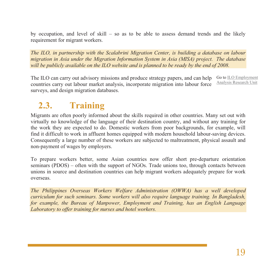by occupation, and level of skill – so as to be able to assess demand trends and the likely requirement for migrant workers.

*The ILO, in partnership with the Scalabrini Migration Center, is building a database on labour migration in Asia under the Migration Information System in Asia (MISA) project. The database will be publicly available on the ILO website and is planned to be ready by the end of 2008.* 

The ILO can carry out advisory missions and produce strategy papers, and can help countries carry out labour market analysis, incorporate migration into labour force surveys, and design migration databases. Go to ILO Employment Analysis Research Unit

#### **2.3. Training**

Migrants are often poorly informed about the skills required in other countries. Many set out with virtually no knowledge of the language of their destination country, and without any training for the work they are expected to do. Domestic workers from poor backgrounds, for example, will find it difficult to work in affluent homes equipped with modern household labour-saving devices. Consequently a large number of these workers are subjected to maltreatment, physical assault and non-payment of wages by employers.

To prepare workers better, some Asian countries now offer short pre-departure orientation seminars (PDOS) – often with the support of NGOs. Trade unions too, through contacts between unions in source and destination countries can help migrant workers adequately prepare for work overseas.

*The Philippines Overseas Workers Welfare Administration (OWWA) has a well developed curriculum for such seminars. Some workers will also require language training. In Bangladesh, for example, the Bureau of Manpower, Employment and Training, has an English Language Laboratory to offer training for nurses and hotel workers.*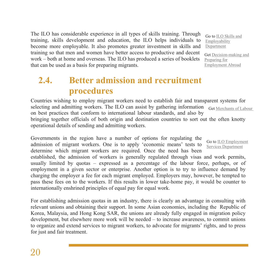The ILO has considerable experience in all types of skills training. Through training, skills development and education, the ILO helps individuals to become more employable. It also promotes greater investment in skills and training so that men and women have better access to productive and decent work – both at home and overseas. The ILO has produced a series of booklets that can be used as a basis for preparing migrants.

Go to ILO Skills and Employability Department

Get Decision-making and Preparing for Employment Abroad

#### **2.4. Better admission and recruitment procedures**

Countries wishing to employ migrant workers need to establish fair and transparent systems for selecting and admitting workers. The ILO can assist by gathering information Get Merchants of Labour on best practices that conform to international labour standards, and also by bringing together officials of both origin and destination countries to sort out the often knotty operational details of sending and admitting workers.

Governments in the region have a number of options for regulating the admission of migrant workers. One is to apply 'economic means' tests to determine which migrant workers are required. Once the need has been

Go to ILO Employment Services Department

established, the admission of workers is generally regulated through visas and work permits, usually limited by quotas – expressed as a percentage of the labour force, perhaps, or of employment in a given sector or enterprise. Another option is to try to influence demand by charging the employer a fee for each migrant employed. Employers may, however, be tempted to pass these fees on to the workers. If this results in lower take-home pay, it would be counter to internationally enshrined principles of equal pay for equal work.

For establishing admission quotas in an industry, there is clearly an advantage in consulting with relevant unions and obtaining their support. In some Asian economies, including the Republic of Korea, Malaysia, and Hong Kong SAR, the unions are already fully engaged in migration policy development, but elsewhere more work will be needed – to increase awareness, to commit unions to organize and extend services to migrant workers, to advocate for migrants' rights, and to press for just and fair treatment.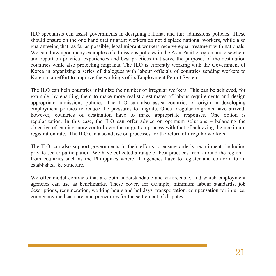ILO specialists can assist governments in designing rational and fair admissions policies. These should ensure on the one hand that migrant workers do not displace national workers, while also guaranteeing that, as far as possible, legal migrant workers receive equal treatment with nationals. We can draw upon many examples of admissions policies in the Asia-Pacific region and elsewhere and report on practical experiences and best practices that serve the purposes of the destination countries while also protecting migrants. The ILO is currently working with the Government of Korea in organizing a series of dialogues with labour officials of countries sending workers to Korea in an effort to improve the workings of its Employment Permit System.

The ILO can help countries minimize the number of irregular workers. This can be achieved, for example, by enabling them to make more realistic estimates of labour requirements and design appropriate admissions policies. The ILO can also assist countries of origin in developing employment policies to reduce the pressures to migrate. Once irregular migrants have arrived, however, countries of destination have to make appropriate responses. One option is regularization. In this case, the ILO can offer advice on optimum solutions – balancing the objective of gaining more control over the migration process with that of achieving the maximum registration rate. The ILO can also advise on processes for the return of irregular workers.

The ILO can also support governments in their efforts to ensure orderly recruitment, including private sector participation. We have collected a range of best practices from around the region – from countries such as the Philippines where all agencies have to register and conform to an established fee structure.

We offer model contracts that are both understandable and enforceable, and which employment agencies can use as benchmarks. These cover, for example, minimum labour standards, job descriptions, remuneration, working hours and holidays, transportation, compensation for injuries, emergency medical care, and procedures for the settlement of disputes.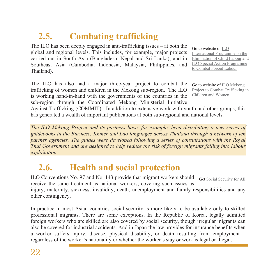### **2.5. Combating trafficking**

The ILO has been deeply engaged in anti-trafficking issues – at both the global and regional levels. This includes, for example, major projects carried out in South Asia (Bangladesh, Nepal and Sri Lanka), and in Southeast Asia (Cambodia, Indonesia, Malaysia, Philippines, and Thailand).

The ILO has also had a major three-year project to combat the trafficking of women and children in the Mekong sub-region. The ILO is working hand-in-hand with the governments of the countries in the sub-region through the Coordinated Mekong Ministerial Initiative Go to website of ILO International Programme on the Elimination of Child Labour and ILO Special Action Programme to Combat Forced Labour

Go to website of ILO Mekong Project to Combat Trafficking in Children and Women

Against Trafficking (COMMIT). In addition to extensive work with youth and other groups, this has generated a wealth of important publications at both sub-regional and national levels.

*The ILO Mekong Project and its partners have, for example, been distributing a new series of guidebooks in the Burmese, Khmer and Lao languages across Thailand through a network of ten partner agencies. The guides were developed following a series of consultations with the Royal Thai Government and are designed to help reduce the risk of foreign migrants falling into labour exploitation.* 

#### **2.6. Health and social protection**

ILO Conventions No. 97 and No. 143 provide that migrant workers should receive the same treatment as national workers, covering such issues as injury, maternity, sickness, invalidity, death, unemployment and family responsibilities and any other contingency. Get Social Security for All

In practice in most Asian countries social security is more likely to be available only to skilled professional migrants. There are some exceptions. In the Republic of Korea, legally admitted foreign workers who are skilled are also covered by social security, though irregular migrants can also be covered for industrial accidents. And in Japan the law provides for insurance benefits when a worker suffers injury, disease, physical disability, or death resulting from employment – regardless of the worker's nationality or whether the worker's stay or work is legal or illegal.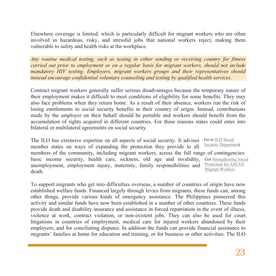Elsewhere coverage is limited, which is particularly difficult for migrant workers who are often involved in hazardous, risky, and stressful jobs that national workers reject, making them vulnerable to safety and health risks at the workplace.

*Any routine medical testing, such as testing in either sending or receiving country for fitness carried out prior to employment or on a regular basis for migrant workers, should not include mandatory HIV testing. Employers, migrant workers groups and their representatives should instead encourage confidential voluntary counseling and testing by qualified health services.* 

Contract migrant workers generally suffer serious disadvantages because the temporary nature of their employment makes it difficult to meet conditions of eligibility for some benefits. They may also face problems when they return home. As a result of their absence, workers run the risk of losing entitlements to social security benefits in their country of origin. Instead, contributions made by the employer on their behalf should be portable and workers should benefit from the accumulation of rights acquired in different countries. For these reasons states could enter into bilateral or multilateral agreements on social security.

The ILO has extensive expertise on all aspects of social security. It advises member states on ways of expanding the protection they provide to all members of the community, including migrant workers, across the full range of contingencies: basic income security, health care, sickness, old age and invalidity, unemployment, employment injury, maternity, family responsibilities and death. Go to ILO Social Security Department Get Strengthening Social Protection for ASEAN Migrant Workers

To support migrants who get into difficulties overseas, a number of countries of origin have now established welfare funds. Financed largely through levies from migrants, these funds can, among other things, provide various kinds of emergency assistance. The Philippines pioneered this activity and similar funds have now been established in a number of other countries. These funds provide death and disability insurance and assistance in forced repatriation in the event of illness, violence at work, contract violation, or non-existent jobs. They can also be used for court litigations in countries of employment, medical care for injured workers abandoned by their employers, and for conciliating disputes. In addition the funds can provide financial assistance to migrants' families at home for education and training, or for business or other activities. The ILO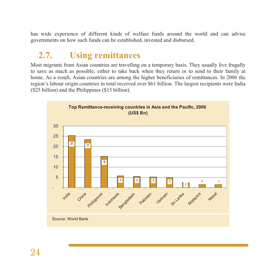has wide experience of different kinds of welfare funds around the world and can advise governments on how such funds can be established, invested and disbursed.

#### **2.7. Using remittances**

Most migrants from Asian countries are travelling on a temporary basis. They usually live frugally to save as much as possible, either to take back when they return or to send to their family at home. As a result, Asian countries are among the higher beneficiaries of remittances. In 2006 the region's labour origin countries in total received over \$61 billion. The largest recipients were India (\$25 billion) and the Philippines (\$15 billion).

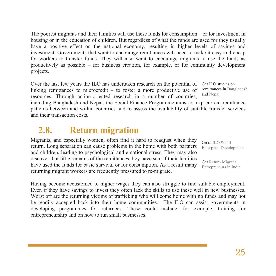The poorest migrants and their families will use these funds for consumption – or for investment in housing or in the education of children. But regardless of what the funds are used for they usually have a positive effect on the national economy, resulting in higher levels of savings and investment. Governments that want to encourage remittances will need to make it easy and cheap for workers to transfer funds. They will also want to encourage migrants to use the funds as productively as possible – for business creation, for example, or for community development projects.

Over the last few years the ILO has undertaken research on the potential of linking remittances to microcredit – to foster a more productive use of resources. Through action-oriented research in a number of countries, Get ILO studies on remittances in Bangladesh and Nepal

including Bangladesh and Nepal, the Social Finance Programme aims to map current remittance patterns between and within countries and to assess the availability of suitable transfer services and their transaction costs.

#### **2.8. Return migration**

Migrants, and especially women, often find it hard to readjust when they return. Long separation can cause problems in the home with both partners and children, leading to psychological and emotional stress. They may also discover that little remains of the remittances they have sent if their families have used the funds for basic survival or for consumption. As a result many returning migrant workers are frequently pressured to re-migrate.

Go to ILO Small Enterprise Development

Get Return Migrant Entrepreneurs in India

Having become accustomed to higher wages they can also struggle to find suitable employment. Even if they have savings to invest they often lack the skills to use these well in new businesses. Worst off are the returning victims of trafficking who will come home with no funds and may not be readily accepted back into their home communities. The ILO can assist governments in developing programmes for returnees. These could include, for example, training for entrepreneurship and on how to run small businesses.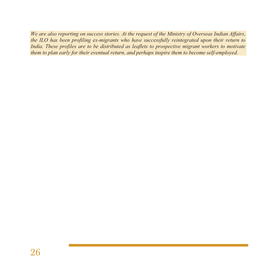*We are also reporting on success stories. At the request of the Ministry of Overseas Indian Affairs, the ILO has been profiling ex-migrants who have successfully reintegrated upon their return to India. These profiles are to be distributed as leaflets to prospective migrant workers to motivate them to plan early for their eventual return, and perhaps inspire them to become self-employed.*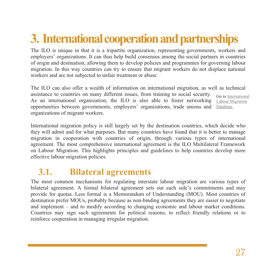## **3. International cooperation and partnerships**

The ILO is unique in that it is a tripartite organization, representing governments, workers and employers' organizations. It can thus help build consensus among the social partners in countries of origin and destination, allowing them to develop policies and programmes for governing labour migration. In this way countries can try to ensure that migrant workers do not displace national workers and are not subjected to unfair treatment or abuse.

The ILO can also offer a wealth of information on international migration, as well as technical assistance to countries on many different issues, from training to social security. As an international organization, the ILO is also able to foster networking opportunities between governments, employers' organizations, trade unions and Database organizations of migrant workers. Go to International Labour Migration

International migration policy is still largely set by the destination countries, which decide who they will admit and for what purposes. But many countries have found that it is better to manage migration in cooperation with countries of origin, through various types of international agreement. The most comprehensive international agreement is the ILO Multilateral Framework on Labour Migration. This highlights principles and guidelines to help countries develop more effective labour migration policies.

#### **3.1. Bilateral agreements**

The most common mechanisms for regulating interstate labour migration are various types of bilateral agreement. A formal bilateral agreement sets out each side's commitments and may provide for quotas. Less formal is a Memorandum of Understanding (MOU). Most countries of destination prefer MOUs, probably because as non-binding agreements they are easier to negotiate and implement – and to modify according to changing economic and labour market conditions. Countries may sign such agreements for political reasons, to reflect friendly relations or to reinforce cooperation in managing irregular migration.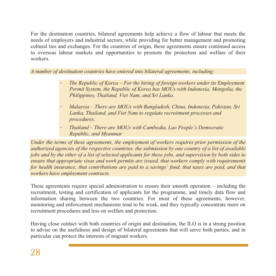For the destination countries, bilateral agreements help achieve a flow of labour that meets the needs of employers and industrial sectors, while providing for better management and promoting cultural ties and exchanges. For the countries of origin, these agreements ensure continued access to overseas labour markets and opportunities to promote the protection and welfare of their workers.

*A number of destination countries have entered into bilateral agreements, including:* 

- *The Republic of Korea For the hiring of foreign workers under its Employment Permit System, the Republic of Korea has MOUs with Indonesia, Mongolia, the Philippines, Thailand, Viet Nam, and Sri Lanka.*
- *Malaysia There are MOUs with Bangladesh, China, Indonesia, Pakistan, Sri Lanka, Thailand, and Viet Nam to regulate recruitment processes and procedures.*
- *Thailand There are MOUs with Cambodia, Lao People's Democratic Republic, and Myanmar*

*Under the terms of these agreements, the employment of workers requires prior permission of the authorized agencies of the respective countries, the submission by one country of a list of available jobs and by the other of a list of selected applicants for these jobs, and supervision by both sides to ensure that appropriate visas and work permits are issued, that workers comply with requirements for health insurance, that contributions are paid to a savings' fund, that taxes are paid, and that workers have employment contracts.* 

These agreements require special administration to ensure their smooth operation – including the recruitment, testing and certification of applicants for the programme, and timely data flow and information sharing between the two countries. For most of these agreements, however, monitoring and enforcement mechanisms tend to be weak, and they typically concentrate more on recruitment procedures and less on welfare and protection.

Having close contact with both countries of origin and destination, the ILO is in a strong position to advise on the usefulness and design of bilateral agreements that will serve both parties, and in particular can protect the interests of migrant workers.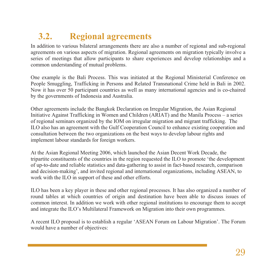### **3.2. Regional agreements**

In addition to various bilateral arrangements there are also a number of regional and sub-regional agreements on various aspects of migration. Regional agreements on migration typically involve a series of meetings that allow participants to share experiences and develop relationships and a common understanding of mutual problems.

One example is the Bali Process. This was initiated at the Regional Ministerial Conference on People Smuggling, Trafficking in Persons and Related Transnational Crime held in Bali in 2002. Now it has over 50 participant countries as well as many international agencies and is co-chaired by the governments of Indonesia and Australia.

Other agreements include the Bangkok Declaration on Irregular Migration, the Asian Regional Initiative Against Trafficking in Women and Children (ARIAT) and the Manila Process – a series of regional seminars organized by the IOM on irregular migration and migrant trafficking. The ILO also has an agreement with the Gulf Cooperation Council to enhance existing cooperation and consultation between the two organizations on the best ways to develop labour rights and implement labour standards for foreign workers.

At the Asian Regional Meeting 2006, which launched the Asian Decent Work Decade, the tripartite constituents of the countries in the region requested the ILO to promote 'the development of up-to-date and reliable statistics and data-gathering to assist in fact-based research, comparison and decision-making', and invited regional and international organizations, including ASEAN, to work with the ILO in support of these and other efforts.

ILO has been a key player in these and other regional processes. It has also organized a number of round tables at which countries of origin and destination have been able to discuss issues of common interest. In addition we work with other regional institutions to encourage them to accept and integrate the ILO's Multilateral Framework on Migration into their own programmes.

A recent ILO proposal is to establish a regular 'ASEAN Forum on Labour Migration'. The Forum would have a number of objectives: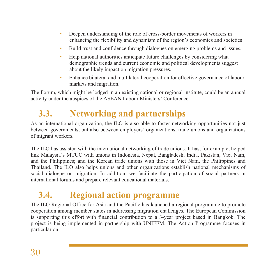- Deepen understanding of the role of cross-border movements of workers in enhancing the flexibility and dynamism of the region's economies and societies
- Build trust and confidence through dialogues on emerging problems and issues,
- Help national authorities anticipate future challenges by considering what demographic trends and current economic and political developments suggest about the likely impact on migration pressures.
- Enhance bilateral and multilateral cooperation for effective governance of labour markets and migration.

The Forum, which might be lodged in an existing national or regional institute, could be an annual activity under the auspices of the ASEAN Labour Ministers' Conference.

#### **3.3. Networking and partnerships**

As an international organization, the ILO is also able to foster networking opportunities not just between governments, but also between employers' organizations, trade unions and organizations of migrant workers.

The ILO has assisted with the international networking of trade unions. It has, for example, helped link Malaysia's MTUC with unions in Indonesia, Nepal, Bangladesh, India, Pakistan, Viet Nam, and the Philippines; and the Korean trade unions with those in Viet Nam, the Philippines and Thailand. The ILO also helps unions and other organizations establish national mechanisms of social dialogue on migration. In addition, we facilitate the participation of social partners in international forums and prepare relevant educational materials.

### **3.4. Regional action programme**

The ILO Regional Office for Asia and the Pacific has launched a regional programme to promote cooperation among member states in addressing migration challenges. The European Commission is supporting this effort with financial contribution to a 3-year project based in Bangkok. The project is being implemented in partnership with UNIFEM. The Action Programme focuses in particular on: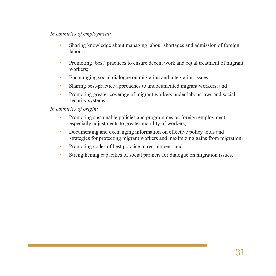#### *In countries of employment:*

- Sharing knowledge about managing labour shortages and admission of foreign labour;
- Promoting 'best' practices to ensure decent work and equal treatment of migrant workers;
- Encouraging social dialogue on migration and integration issues;
- Sharing best-practice approaches to undocumented migrant workers; and
- Promoting greater coverage of migrant workers under labour laws and social security systems.

*In countries of origin:* 

- Promoting sustainable policies and programmes on foreign employment, especially adjustments to greater mobility of workers;
- Documenting and exchanging information on effective policy tools and strategies for protecting migrant workers and maximizing gains from migration;
- Promoting codes of best practice in recruitment; and
- Strengthening capacities of social partners for dialogue on migration issues.